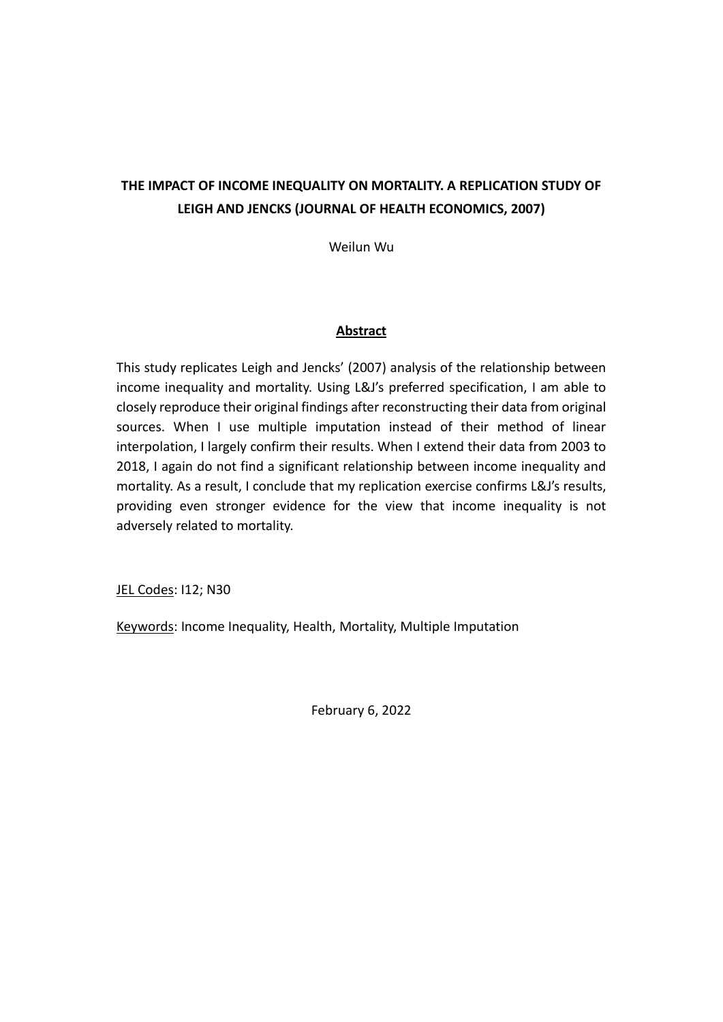# **THE IMPACT OF INCOME INEQUALITY ON MORTALITY. A REPLICATION STUDY OF LEIGH AND JENCKS (JOURNAL OF HEALTH ECONOMICS, 2007)**

Weilun Wu

## **Abstract**

This study replicates Leigh and Jencks' (2007) analysis of the relationship between income inequality and mortality. Using L&J's preferred specification, I am able to closely reproduce their original findings after reconstructing their data from original sources. When I use multiple imputation instead of their method of linear interpolation, I largely confirm their results. When I extend their data from 2003 to 2018, I again do not find a significant relationship between income inequality and mortality. As a result, I conclude that my replication exercise confirms L&J's results, providing even stronger evidence for the view that income inequality is not adversely related to mortality.

JEL Codes: 112; N30

Keywords: Income Inequality, Health, Mortality, Multiple Imputation

February 6, 2022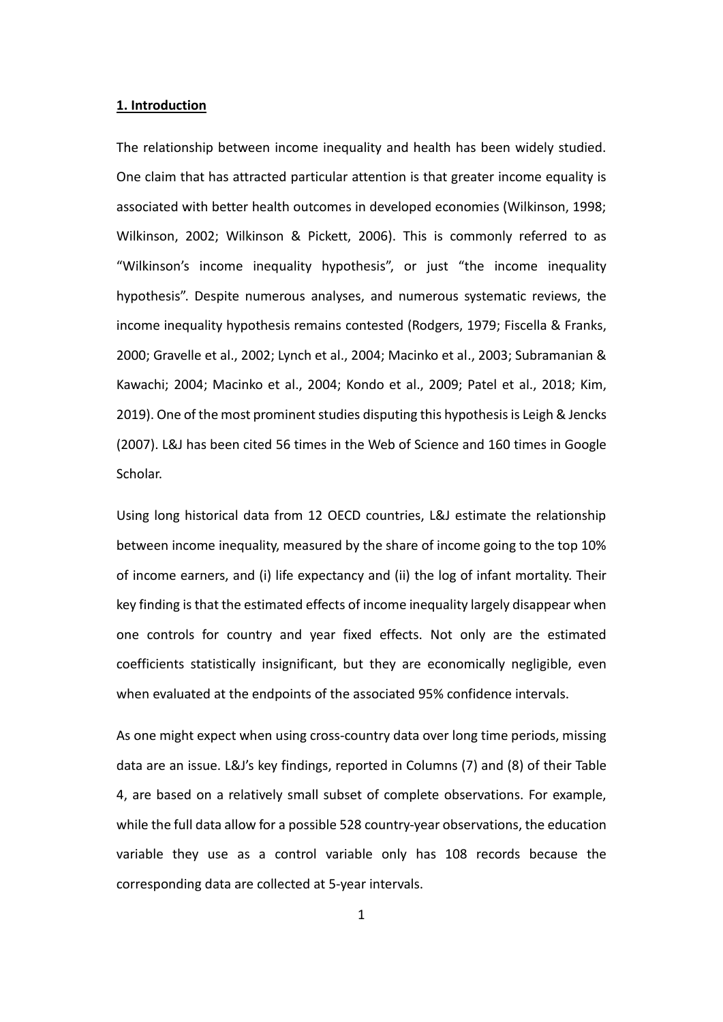### **1. Introduction**

The relationship between income inequality and health has been widely studied. One claim that has attracted particular attention is that greater income equality is associated with better health outcomes in developed economies (Wilkinson, 1998; Wilkinson, 2002; Wilkinson & Pickett, 2006). This is commonly referred to as "Wilkinson's income inequality hypothesis", or just "the income inequality hypothesis". Despite numerous analyses, and numerous systematic reviews, the income inequality hypothesis remains contested (Rodgers, 1979; Fiscella & Franks, 2000; Gravelle et al., 2002; Lynch et al., 2004; Macinko et al., 2003; Subramanian & Kawachi; 2004; Macinko et al., 2004; Kondo et al., 2009; Patel et al., 2018; Kim, 2019). One of the most prominent studies disputing this hypothesis is Leigh & Jencks (2007). L&J has been cited 56 times in the Web of Science and 160 times in Google Scholar.

Using long historical data from 12 OECD countries, L&J estimate the relationship between income inequality, measured by the share of income going to the top 10% of income earners, and (i) life expectancy and (ii) the log of infant mortality. Their key finding is that the estimated effects of income inequality largely disappear when one controls for country and year fixed effects. Not only are the estimated coefficients statistically insignificant, but they are economically negligible, even when evaluated at the endpoints of the associated 95% confidence intervals.

As one might expect when using cross-country data over long time periods, missing data are an issue. L&J's key findings, reported in Columns (7) and (8) of their Table 4, are based on a relatively small subset of complete observations. For example, while the full data allow for a possible 528 country-year observations, the education variable they use as a control variable only has 108 records because the corresponding data are collected at 5-year intervals.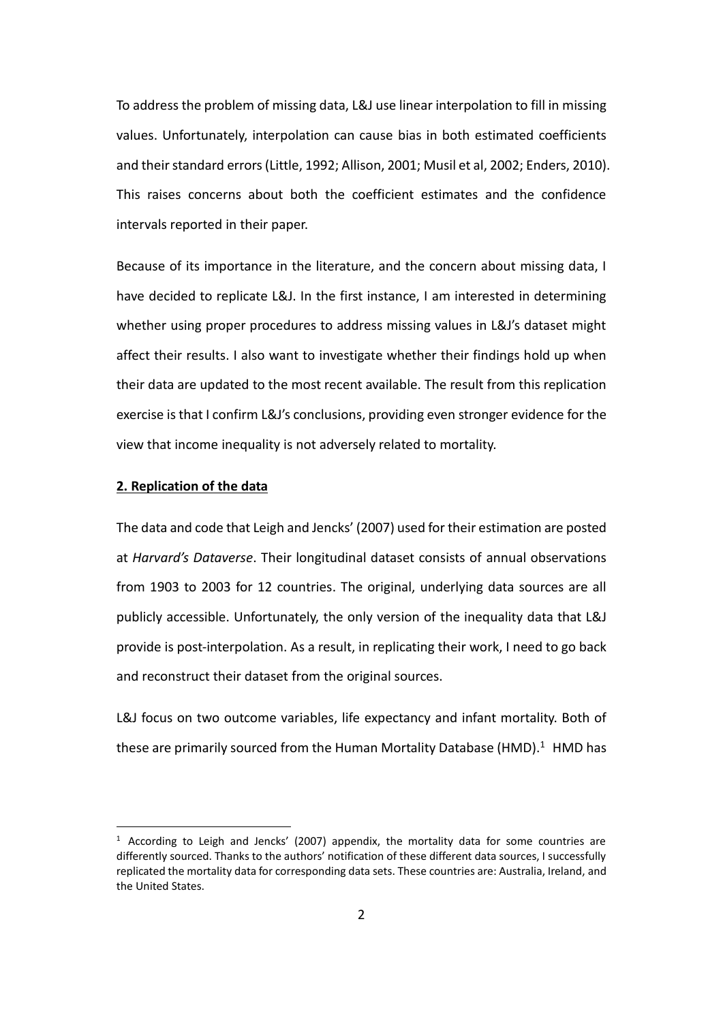To address the problem of missing data, L&J use linear interpolation to fill in missing values. Unfortunately, interpolation can cause bias in both estimated coefficients and their standard errors (Little, 1992; Allison, 2001; Musil et al, 2002; Enders, 2010). This raises concerns about both the coefficient estimates and the confidence intervals reported in their paper.

Because of its importance in the literature, and the concern about missing data, I have decided to replicate L&J. In the first instance, I am interested in determining whether using proper procedures to address missing values in L&J's dataset might affect their results. I also want to investigate whether their findings hold up when their data are updated to the most recent available. The result from this replication exercise is that I confirm L&J's conclusions, providing even stronger evidence for the view that income inequality is not adversely related to mortality.

### **2. Replication of the data**

The data and code that Leigh and Jencks' (2007) used for their estimation are posted at *Harvard's Dataverse*. Their longitudinal dataset consists of annual observations from 1903 to 2003 for 12 countries. The original, underlying data sources are all publicly accessible. Unfortunately, the only version of the inequality data that L&J provide is post-interpolation. As a result, in replicating their work, I need to go back and reconstruct their dataset from the original sources.

L&J focus on two outcome variables, life expectancy and infant mortality. Both of these are primarily sourced from the Human Mortality Database (HMD). $1$  HMD has

<sup>&</sup>lt;sup>1</sup> According to Leigh and Jencks' (2007) appendix, the mortality data for some countries are differently sourced. Thanks to the authors' notification of these different data sources, I successfully replicated the mortality data for corresponding data sets. These countries are: Australia, Ireland, and the United States.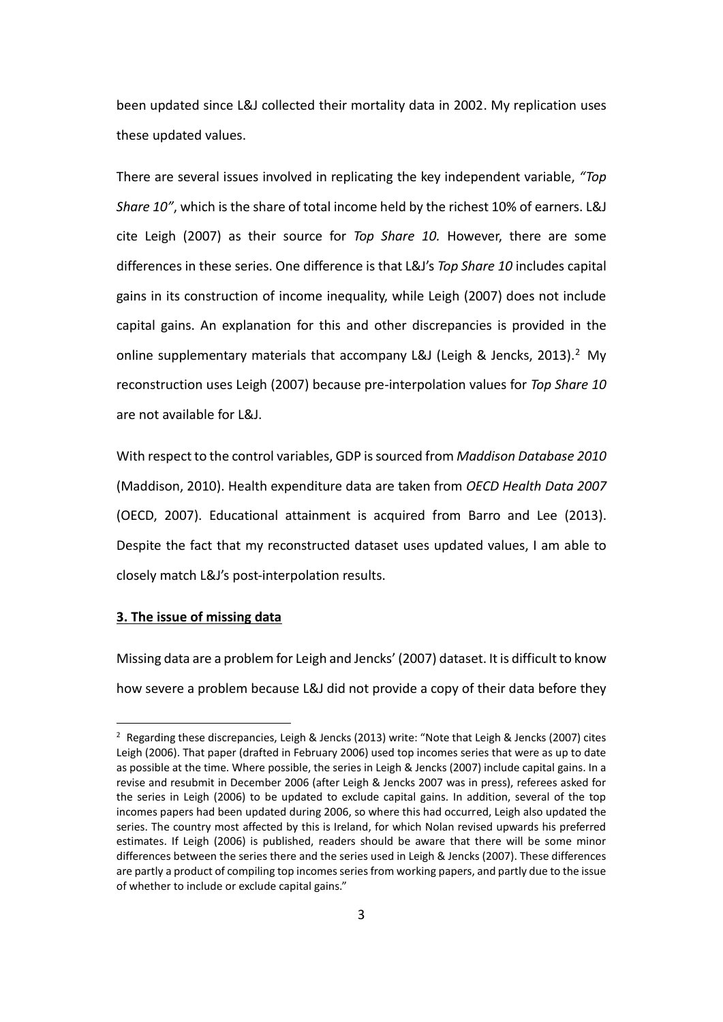been updated since L&J collected their mortality data in 2002. My replication uses these updated values.

There are several issues involved in replicating the key independent variable, *"Top Share 10"*, which is the share of total income held by the richest 10% of earners. L&J cite Leigh (2007) as their source for *Top Share 10.* However, there are some differences in these series. One difference is that L&J's *Top Share 10* includes capital gains in its construction of income inequality, while Leigh (2007) does not include capital gains. An explanation for this and other discrepancies is provided in the online supplementary materials that accompany L&J (Leigh & Jencks, 2013).<sup>2</sup> My reconstruction uses Leigh (2007) because pre-interpolation values for *Top Share 10*  are not available for L&J.

With respect to the control variables, GDP is sourced from *Maddison Database 2010* (Maddison, 2010). Health expenditure data are taken from *OECD Health Data 2007* (OECD, 2007). Educational attainment is acquired from Barro and Lee (2013). Despite the fact that my reconstructed dataset uses updated values, I am able to closely match L&J's post-interpolation results.

### **3. The issue of missing data**

Missing data are a problem for Leigh and Jencks' (2007) dataset. It is difficult to know how severe a problem because L&J did not provide a copy of their data before they

<sup>&</sup>lt;sup>2</sup> Regarding these discrepancies, Leigh & Jencks (2013) write: "Note that Leigh & Jencks (2007) cites Leigh (2006). That paper (drafted in February 2006) used top incomes series that were as up to date as possible at the time. Where possible, the series in Leigh & Jencks (2007) include capital gains. In a revise and resubmit in December 2006 (after Leigh & Jencks 2007 was in press), referees asked for the series in Leigh (2006) to be updated to exclude capital gains. In addition, several of the top incomes papers had been updated during 2006, so where this had occurred, Leigh also updated the series. The country most affected by this is Ireland, for which Nolan revised upwards his preferred estimates. If Leigh (2006) is published, readers should be aware that there will be some minor differences between the series there and the series used in Leigh & Jencks (2007). These differences are partly a product of compiling top incomes series from working papers, and partly due to the issue of whether to include or exclude capital gains."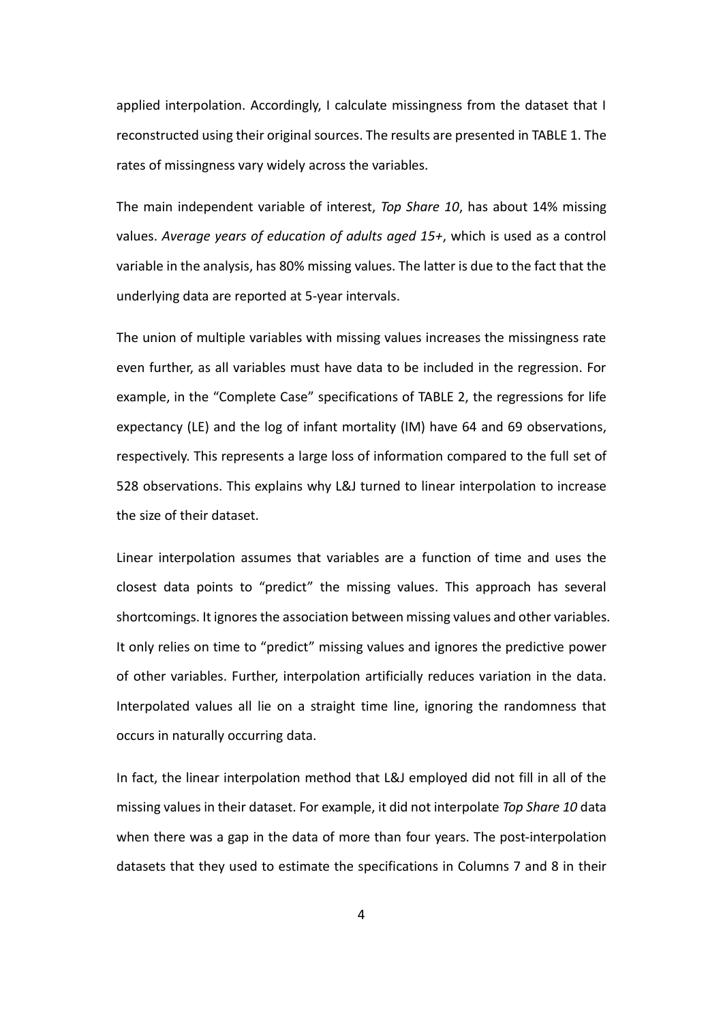applied interpolation. Accordingly, I calculate missingness from the dataset that I reconstructed using their original sources. The results are presented in TABLE 1. The rates of missingness vary widely across the variables.

The main independent variable of interest, *Top Share 10*, has about 14% missing values. *Average years of education of adults aged 15+*, which is used as a control variable in the analysis, has 80% missing values. The latter is due to the fact that the underlying data are reported at 5-year intervals.

The union of multiple variables with missing values increases the missingness rate even further, as all variables must have data to be included in the regression. For example, in the "Complete Case" specifications of TABLE 2, the regressions for life expectancy (LE) and the log of infant mortality (IM) have 64 and 69 observations, respectively. This represents a large loss of information compared to the full set of 528 observations. This explains why L&J turned to linear interpolation to increase the size of their dataset.

Linear interpolation assumes that variables are a function of time and uses the closest data points to "predict" the missing values. This approach has several shortcomings. It ignores the association between missing values and other variables. It only relies on time to "predict" missing values and ignores the predictive power of other variables. Further, interpolation artificially reduces variation in the data. Interpolated values all lie on a straight time line, ignoring the randomness that occurs in naturally occurring data.

In fact, the linear interpolation method that L&J employed did not fill in all of the missing values in their dataset. For example, it did not interpolate *Top Share 10* data when there was a gap in the data of more than four years. The post-interpolation datasets that they used to estimate the specifications in Columns 7 and 8 in their

4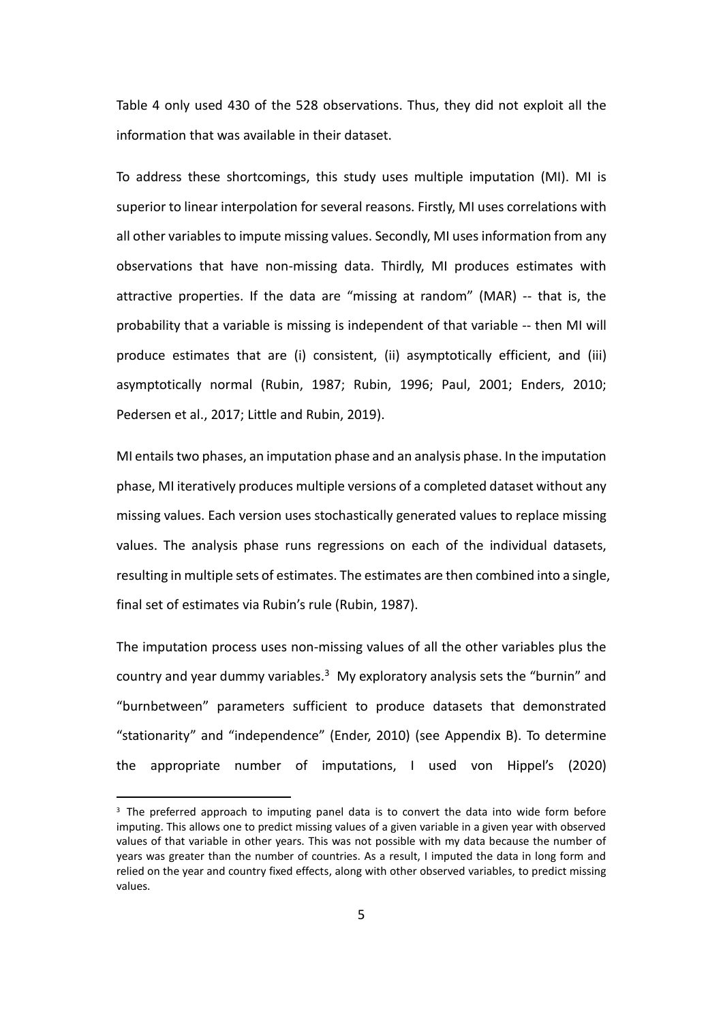Table 4 only used 430 of the 528 observations. Thus, they did not exploit all the information that was available in their dataset.

To address these shortcomings, this study uses multiple imputation (MI). MI is superior to linear interpolation for several reasons. Firstly, MI uses correlations with all other variables to impute missing values. Secondly, MI uses information from any observations that have non-missing data. Thirdly, MI produces estimates with attractive properties. If the data are "missing at random" (MAR) -- that is, the probability that a variable is missing is independent of that variable -- then MI will produce estimates that are (i) consistent, (ii) asymptotically efficient, and (iii) asymptotically normal (Rubin, 1987; Rubin, 1996; Paul, 2001; Enders, 2010; Pedersen et al., 2017; Little and Rubin, 2019).

MI entails two phases, an imputation phase and an analysis phase. In the imputation phase, MI iteratively produces multiple versions of a completed dataset without any missing values. Each version uses stochastically generated values to replace missing values. The analysis phase runs regressions on each of the individual datasets, resulting in multiple sets of estimates. The estimates are then combined into a single, final set of estimates via Rubin's rule (Rubin, 1987).

The imputation process uses non-missing values of all the other variables plus the country and year dummy variables.<sup>3</sup> My exploratory analysis sets the "burnin" and "burnbetween" parameters sufficient to produce datasets that demonstrated "stationarity" and "independence" (Ender, 2010) (see Appendix B). To determine the appropriate number of imputations, I used von Hippel's (2020)

<sup>3</sup> The preferred approach to imputing panel data is to convert the data into wide form before imputing. This allows one to predict missing values of a given variable in a given year with observed values of that variable in other years. This was not possible with my data because the number of years was greater than the number of countries. As a result, I imputed the data in long form and relied on the year and country fixed effects, along with other observed variables, to predict missing values.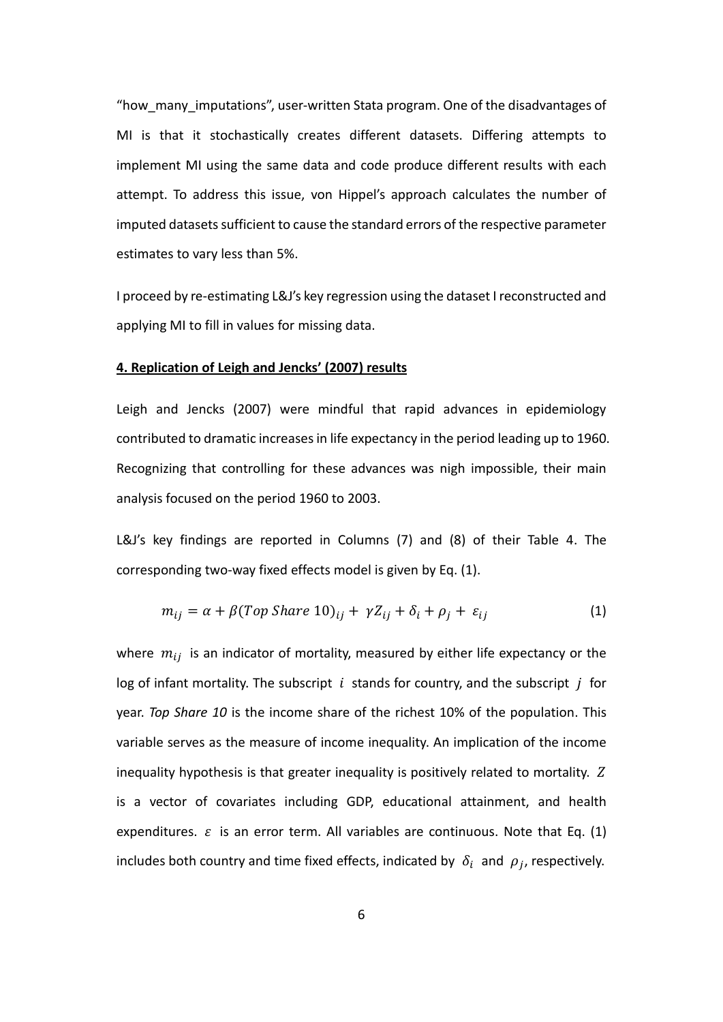"how\_many\_imputations", user-written Stata program. One of the disadvantages of MI is that it stochastically creates different datasets. Differing attempts to implement MI using the same data and code produce different results with each attempt. To address this issue, von Hippel's approach calculates the number of imputed datasets sufficient to cause the standard errors of the respective parameter estimates to vary less than 5%.

I proceed by re-estimating L&J's key regression using the dataset I reconstructed and applying MI to fill in values for missing data.

### **4. Replication of Leigh and Jencks' (2007) results**

Leigh and Jencks (2007) were mindful that rapid advances in epidemiology contributed to dramatic increases in life expectancy in the period leading up to 1960. Recognizing that controlling for these advances was nigh impossible, their main analysis focused on the period 1960 to 2003.

L&J's key findings are reported in Columns (7) and (8) of their Table 4. The corresponding two-way fixed effects model is given by Eq. (1).

$$
m_{ij} = \alpha + \beta (Top\,Share\,10)_{ij} + \gamma Z_{ij} + \delta_i + \rho_j + \varepsilon_{ij}
$$
 (1)

where  $m_{ij}$  is an indicator of mortality, measured by either life expectancy or the log of infant mortality. The subscript  $i$  stands for country, and the subscript  $j$  for year. *Top Share 10* is the income share of the richest 10% of the population. This variable serves as the measure of income inequality. An implication of the income inequality hypothesis is that greater inequality is positively related to mortality. is a vector of covariates including GDP, educational attainment, and health expenditures.  $\varepsilon$  is an error term. All variables are continuous. Note that Eq. (1) includes both country and time fixed effects, indicated by  $\delta_i$  and  $\rho_j$ , respectively.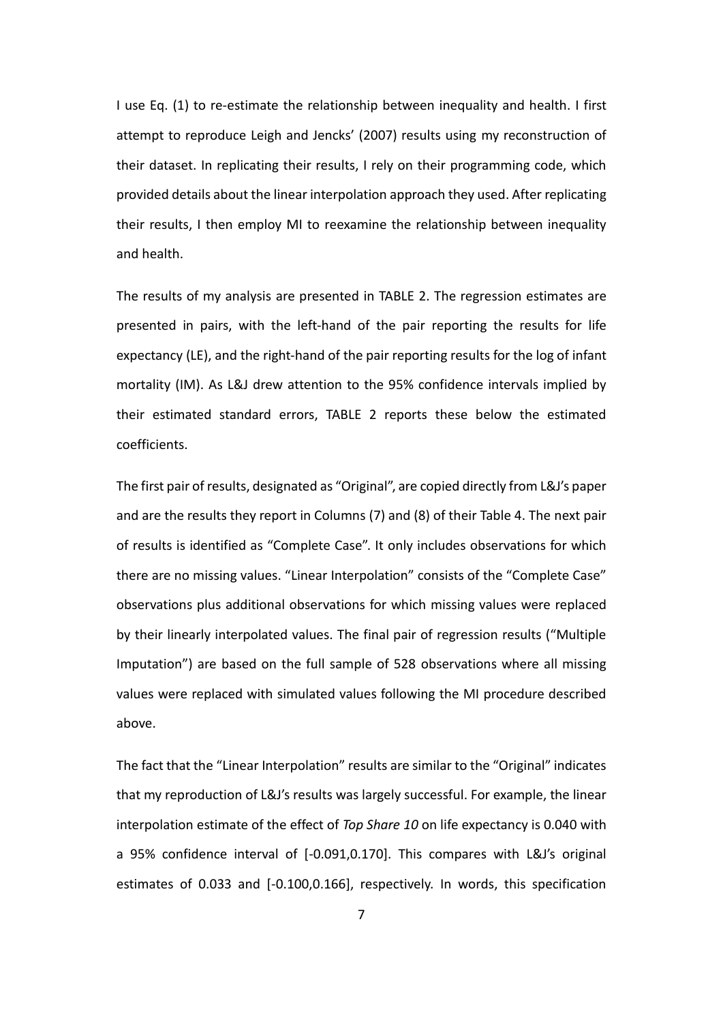I use Eq. (1) to re-estimate the relationship between inequality and health. I first attempt to reproduce Leigh and Jencks' (2007) results using my reconstruction of their dataset. In replicating their results, I rely on their programming code, which provided details about the linear interpolation approach they used. After replicating their results, I then employ MI to reexamine the relationship between inequality and health.

The results of my analysis are presented in TABLE 2. The regression estimates are presented in pairs, with the left-hand of the pair reporting the results for life expectancy (LE), and the right-hand of the pair reporting results for the log of infant mortality (IM). As L&J drew attention to the 95% confidence intervals implied by their estimated standard errors, TABLE 2 reports these below the estimated coefficients.

The first pair of results, designated as "Original", are copied directly from L&J's paper and are the results they report in Columns (7) and (8) of their Table 4. The next pair of results is identified as "Complete Case". It only includes observations for which there are no missing values. "Linear Interpolation" consists of the "Complete Case" observations plus additional observations for which missing values were replaced by their linearly interpolated values. The final pair of regression results ("Multiple Imputation") are based on the full sample of 528 observations where all missing values were replaced with simulated values following the MI procedure described above.

The fact that the "Linear Interpolation" results are similar to the "Original" indicates that my reproduction of L&J's results was largely successful. For example, the linear interpolation estimate of the effect of *Top Share 10* on life expectancy is 0.040 with a 95% confidence interval of [-0.091,0.170]. This compares with L&J's original estimates of 0.033 and [-0.100,0.166], respectively. In words, this specification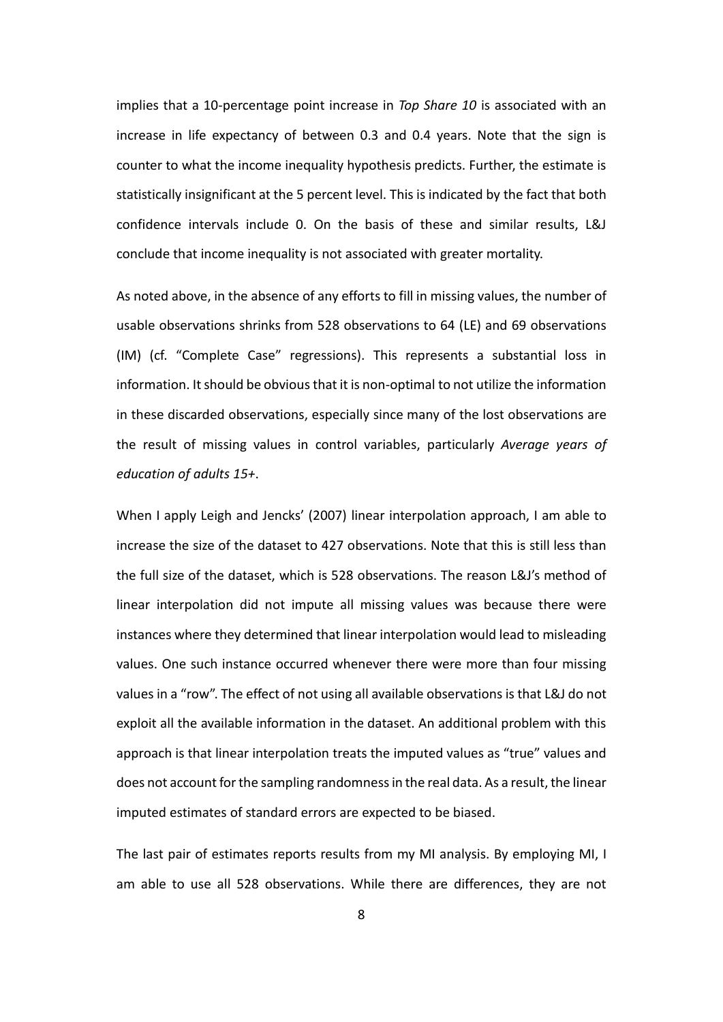implies that a 10-percentage point increase in *Top Share 10* is associated with an increase in life expectancy of between 0.3 and 0.4 years. Note that the sign is counter to what the income inequality hypothesis predicts. Further, the estimate is statistically insignificant at the 5 percent level. This is indicated by the fact that both confidence intervals include 0. On the basis of these and similar results, L&J conclude that income inequality is not associated with greater mortality.

As noted above, in the absence of any efforts to fill in missing values, the number of usable observations shrinks from 528 observations to 64 (LE) and 69 observations (IM) (cf. "Complete Case" regressions). This represents a substantial loss in information. It should be obvious that it is non-optimal to not utilize the information in these discarded observations, especially since many of the lost observations are the result of missing values in control variables, particularly *Average years of education of adults 15+*.

When I apply Leigh and Jencks' (2007) linear interpolation approach, I am able to increase the size of the dataset to 427 observations. Note that this is still less than the full size of the dataset, which is 528 observations. The reason L&J's method of linear interpolation did not impute all missing values was because there were instances where they determined that linear interpolation would lead to misleading values. One such instance occurred whenever there were more than four missing values in a "row". The effect of not using all available observations is that L&J do not exploit all the available information in the dataset. An additional problem with this approach is that linear interpolation treats the imputed values as "true" values and does not account for the sampling randomness in the real data. As a result, the linear imputed estimates of standard errors are expected to be biased.

The last pair of estimates reports results from my MI analysis. By employing MI, I am able to use all 528 observations. While there are differences, they are not

8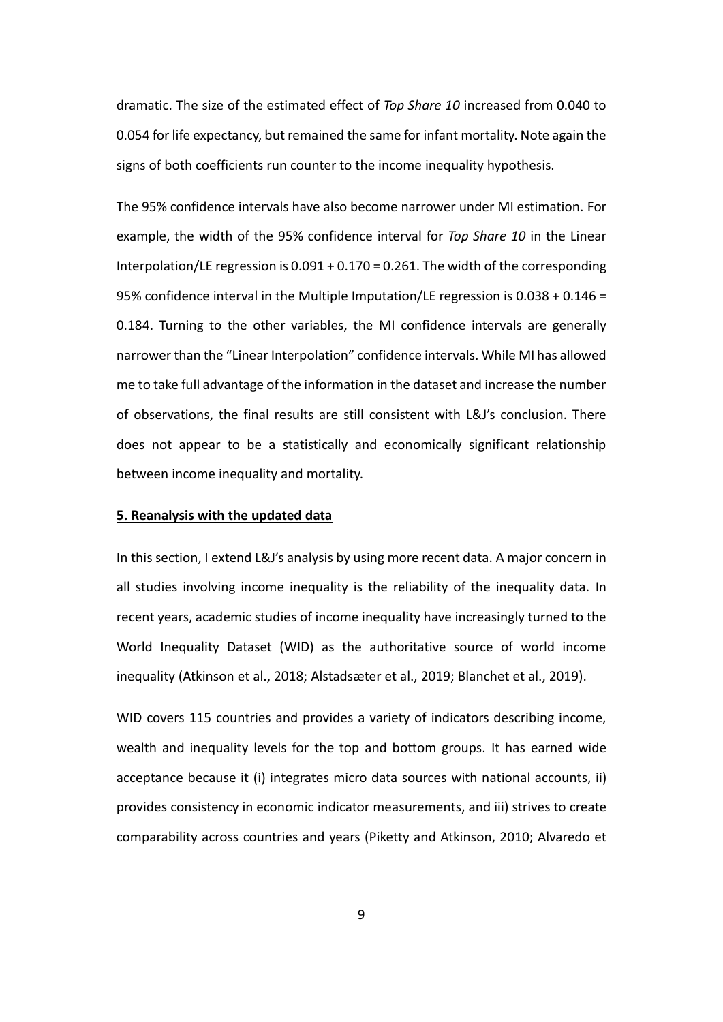dramatic. The size of the estimated effect of *Top Share 10* increased from 0.040 to 0.054 for life expectancy, but remained the same for infant mortality. Note again the signs of both coefficients run counter to the income inequality hypothesis.

The 95% confidence intervals have also become narrower under MI estimation. For example, the width of the 95% confidence interval for *Top Share 10* in the Linear Interpolation/LE regression is 0.091 + 0.170 = 0.261. The width of the corresponding 95% confidence interval in the Multiple Imputation/LE regression is 0.038 + 0.146 = 0.184. Turning to the other variables, the MI confidence intervals are generally narrower than the "Linear Interpolation" confidence intervals. While MI has allowed me to take full advantage of the information in the dataset and increase the number of observations, the final results are still consistent with L&J's conclusion. There does not appear to be a statistically and economically significant relationship between income inequality and mortality.

### **5. Reanalysis with the updated data**

In this section, I extend L&J's analysis by using more recent data. A major concern in all studies involving income inequality is the reliability of the inequality data. In recent years, academic studies of income inequality have increasingly turned to the World Inequality Dataset (WID) as the authoritative source of world income inequality (Atkinson et al., 2018; Alstadsæter et al., 2019; Blanchet et al., 2019).

WID covers 115 countries and provides a variety of indicators describing income, wealth and inequality levels for the top and bottom groups. It has earned wide acceptance because it (i) integrates micro data sources with national accounts, ii) provides consistency in economic indicator measurements, and iii) strives to create comparability across countries and years (Piketty and Atkinson, 2010; Alvaredo et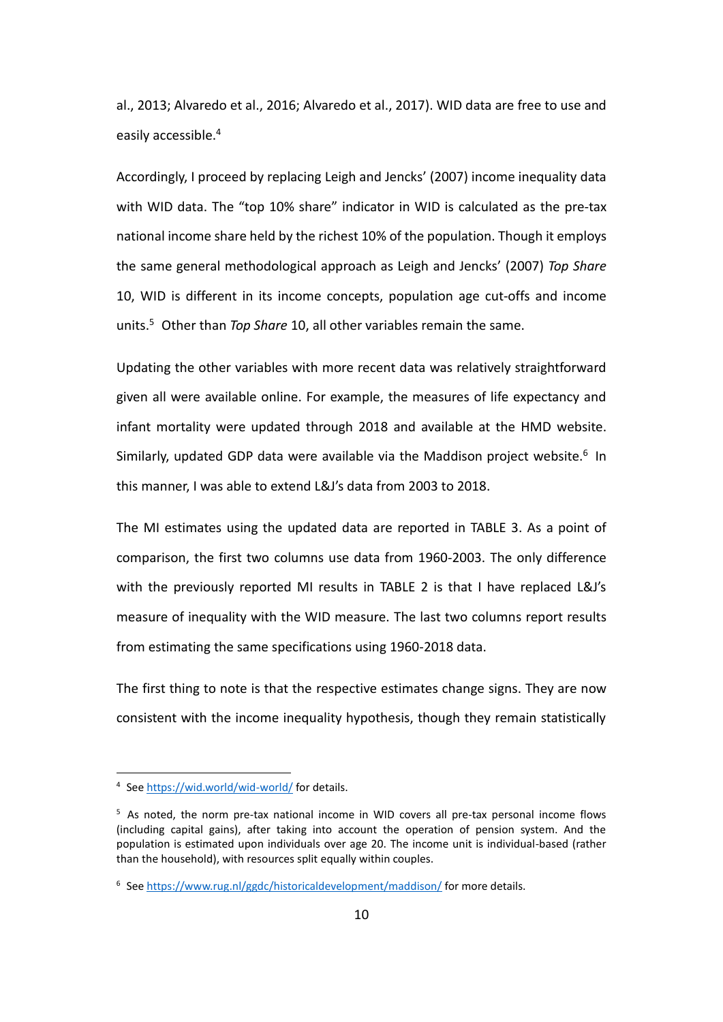al., 2013; Alvaredo et al., 2016; Alvaredo et al., 2017). WID data are free to use and easily accessible. 4

Accordingly, I proceed by replacing Leigh and Jencks' (2007) income inequality data with WID data. The "top 10% share" indicator in WID is calculated as the pre-tax national income share held by the richest 10% of the population. Though it employs the same general methodological approach as Leigh and Jencks' (2007) *Top Share*  10, WID is different in its income concepts, population age cut-offs and income units.<sup>5</sup> Other than *Top Share* 10, all other variables remain the same.

Updating the other variables with more recent data was relatively straightforward given all were available online. For example, the measures of life expectancy and infant mortality were updated through 2018 and available at the HMD website. Similarly, updated GDP data were available via the Maddison project website.<sup>6</sup> In this manner, I was able to extend L&J's data from 2003 to 2018.

The MI estimates using the updated data are reported in TABLE 3. As a point of comparison, the first two columns use data from 1960-2003. The only difference with the previously reported MI results in TABLE 2 is that I have replaced L&J's measure of inequality with the WID measure. The last two columns report results from estimating the same specifications using 1960-2018 data.

The first thing to note is that the respective estimates change signs. They are now consistent with the income inequality hypothesis, though they remain statistically

<sup>&</sup>lt;sup>4</sup> See<https://wid.world/wid-world/> for details.

<sup>&</sup>lt;sup>5</sup> As noted, the norm pre-tax national income in WID covers all pre-tax personal income flows (including capital gains), after taking into account the operation of pension system. And the population is estimated upon individuals over age 20. The income unit is individual-based (rather than the household), with resources split equally within couples.

<sup>&</sup>lt;sup>6</sup> See<https://www.rug.nl/ggdc/historicaldevelopment/maddison/> for more details.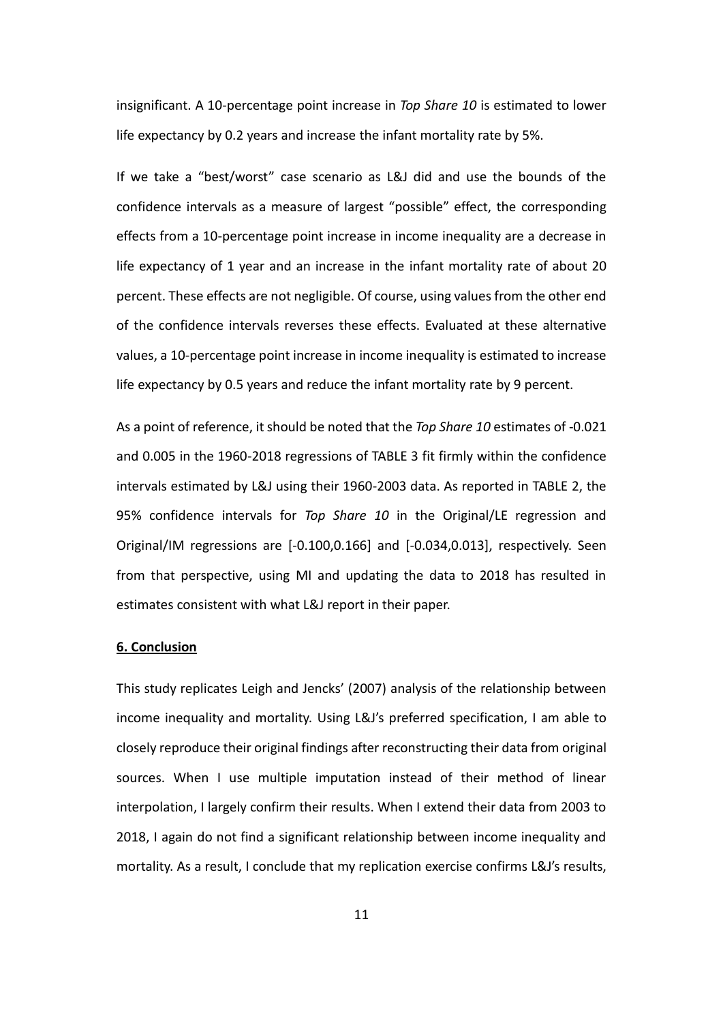insignificant. A 10-percentage point increase in *Top Share 10* is estimated to lower life expectancy by 0.2 years and increase the infant mortality rate by 5%.

If we take a "best/worst" case scenario as L&J did and use the bounds of the confidence intervals as a measure of largest "possible" effect, the corresponding effects from a 10-percentage point increase in income inequality are a decrease in life expectancy of 1 year and an increase in the infant mortality rate of about 20 percent. These effects are not negligible. Of course, using values from the other end of the confidence intervals reverses these effects. Evaluated at these alternative values, a 10-percentage point increase in income inequality is estimated to increase life expectancy by 0.5 years and reduce the infant mortality rate by 9 percent.

As a point of reference, it should be noted that the *Top Share 10* estimates of -0.021 and 0.005 in the 1960-2018 regressions of TABLE 3 fit firmly within the confidence intervals estimated by L&J using their 1960-2003 data. As reported in TABLE 2, the 95% confidence intervals for *Top Share 10* in the Original/LE regression and Original/IM regressions are [-0.100,0.166] and [-0.034,0.013], respectively. Seen from that perspective, using MI and updating the data to 2018 has resulted in estimates consistent with what L&J report in their paper.

### **6. Conclusion**

This study replicates Leigh and Jencks' (2007) analysis of the relationship between income inequality and mortality. Using L&J's preferred specification, I am able to closely reproduce their original findings after reconstructing their data from original sources. When I use multiple imputation instead of their method of linear interpolation, I largely confirm their results. When I extend their data from 2003 to 2018, I again do not find a significant relationship between income inequality and mortality. As a result, I conclude that my replication exercise confirms L&J's results,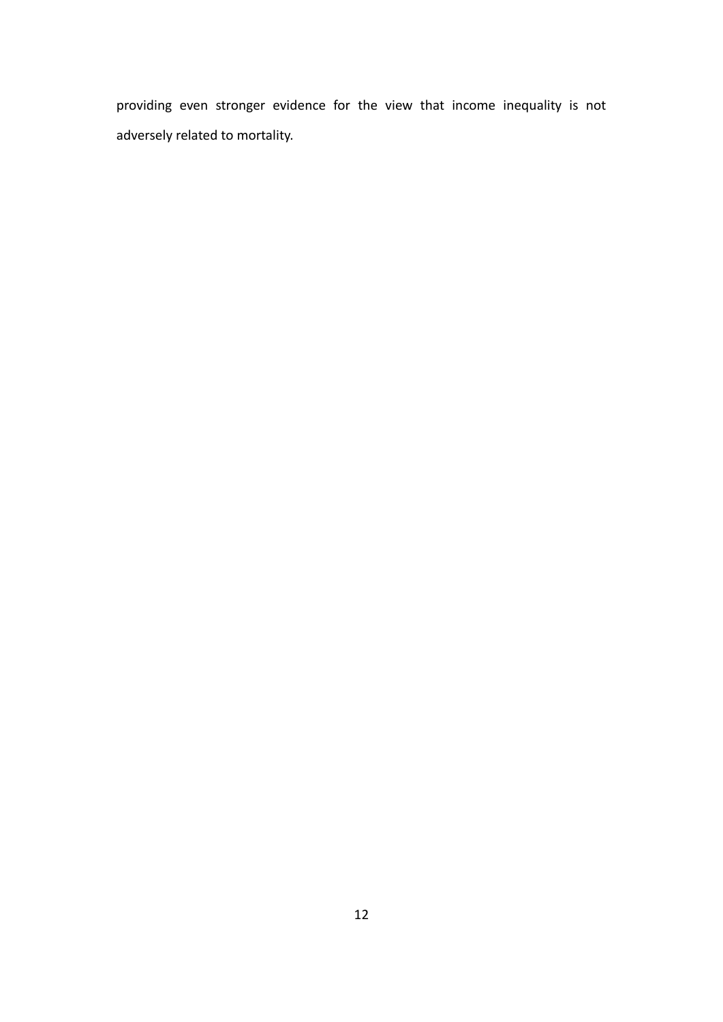providing even stronger evidence for the view that income inequality is not adversely related to mortality.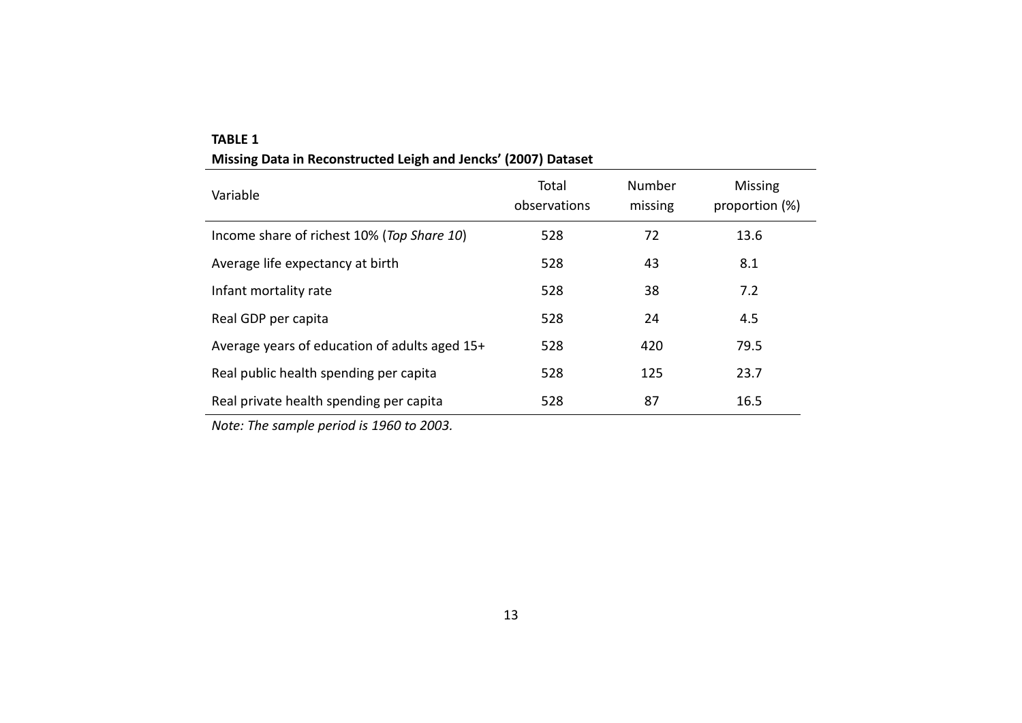| Variable                                      | Total<br>observations | Number<br>missing | <b>Missing</b><br>proportion (%) |
|-----------------------------------------------|-----------------------|-------------------|----------------------------------|
| Income share of richest 10% (Top Share 10)    | 528                   | 72                | 13.6                             |
| Average life expectancy at birth              | 528                   | 43                | 8.1                              |
| Infant mortality rate                         | 528                   | 38                | 7.2                              |
| Real GDP per capita                           | 528                   | 24                | 4.5                              |
| Average years of education of adults aged 15+ | 528                   | 420               | 79.5                             |
| Real public health spending per capita        | 528                   | 125               | 23.7                             |
| Real private health spending per capita       | 528                   | 87                | 16.5                             |

## **TABLE 1 Missing Data in Reconstructed Leigh and Jencks' (2007) Dataset**

*Note: The sample period is 1960 to 2003.*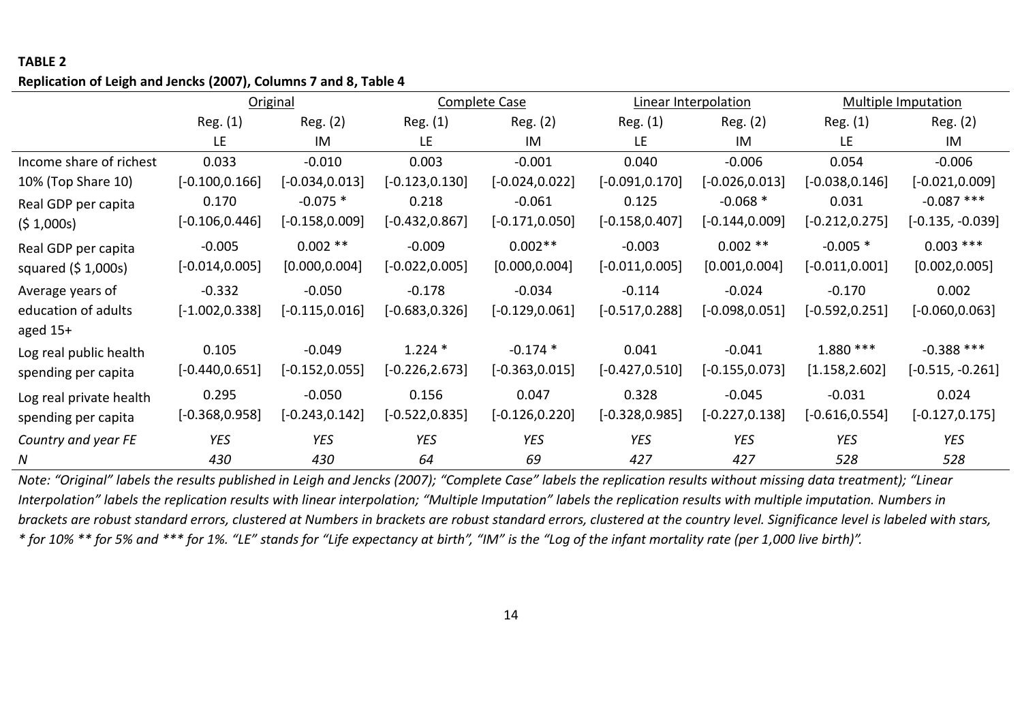## **TABLE 2**

### **Replication of Leigh and Jencks (2007), Columns 7 and 8, Table 4**

|                         | Original          |                   |                   | <b>Complete Case</b> |                   | Linear Interpolation |                   | <b>Multiple Imputation</b> |  |
|-------------------------|-------------------|-------------------|-------------------|----------------------|-------------------|----------------------|-------------------|----------------------------|--|
|                         | Reg. (1)          | Reg. (2)          | Reg. (1)          | Reg. (2)             | Reg. (1)          | Reg. (2)             | Reg. (1)          | Reg. (2)                   |  |
|                         | LE                | IM                | LE.               | IM                   | LE                | IM                   | LE                | IM                         |  |
| Income share of richest | 0.033             | $-0.010$          | 0.003             | $-0.001$             | 0.040             | $-0.006$             | 0.054             | $-0.006$                   |  |
| 10% (Top Share 10)      | $[-0.100, 0.166]$ | $[-0.034, 0.013]$ | $[-0.123, 0.130]$ | $[-0.024, 0.022]$    | $[-0.091, 0.170]$ | $[-0.026, 0.013]$    | $[-0.038, 0.146]$ | $[-0.021, 0.009]$          |  |
| Real GDP per capita     | 0.170             | $-0.075*$         | 0.218             | $-0.061$             | 0.125             | $-0.068*$            | 0.031             | $-0.087$ ***               |  |
| (5 1,000s)              | $[-0.106, 0.446]$ | $[-0.158, 0.009]$ | $[-0.432, 0.867]$ | $[-0.171, 0.050]$    | $[-0.158, 0.407]$ | $[-0.144, 0.009]$    | $[-0.212, 0.275]$ | $[-0.135, -0.039]$         |  |
| Real GDP per capita     | $-0.005$          | $0.002**$         | $-0.009$          | $0.002**$            | $-0.003$          | $0.002$ **           | $-0.005$ *        | $0.003$ ***                |  |
| squared $(5 1,000s)$    | $[-0.014, 0.005]$ | [0.000, 0.004]    | $[-0.022, 0.005]$ | [0.000, 0.004]       | $[-0.011, 0.005]$ | [0.001, 0.004]       | $[-0.011, 0.001]$ | [0.002, 0.005]             |  |
| Average years of        | $-0.332$          | $-0.050$          | $-0.178$          | $-0.034$             | $-0.114$          | $-0.024$             | $-0.170$          | 0.002                      |  |
| education of adults     | $[-1.002, 0.338]$ | $[-0.115, 0.016]$ | $[-0.683, 0.326]$ | $[-0.129, 0.061]$    | $[-0.517, 0.288]$ | $[-0.098, 0.051]$    | $[-0.592, 0.251]$ | $[-0.060, 0.063]$          |  |
| aged $15+$              |                   |                   |                   |                      |                   |                      |                   |                            |  |
| Log real public health  | 0.105             | $-0.049$          | $1.224*$          | $-0.174*$            | 0.041             | $-0.041$             | 1.880 ***         | $-0.388$ ***               |  |
| spending per capita     | $[-0.440, 0.651]$ | $[-0.152, 0.055]$ | $[-0.226, 2.673]$ | $[-0.363, 0.015]$    | $[-0.427, 0.510]$ | $[-0.155, 0.073]$    | [1.158, 2.602]    | $[-0.515, -0.261]$         |  |
| Log real private health | 0.295             | $-0.050$          | 0.156             | 0.047                | 0.328             | $-0.045$             | $-0.031$          | 0.024                      |  |
| spending per capita     | $[-0.368, 0.958]$ | $[-0.243, 0.142]$ | $[-0.522, 0.835]$ | $[-0.126, 0.220]$    | $[-0.328, 0.985]$ | $[-0.227, 0.138]$    | $[-0.616, 0.554]$ | $[-0.127, 0.175]$          |  |
| Country and year FE     | <b>YES</b>        | YES               | YES               | YES                  | <b>YES</b>        | YES                  | <b>YES</b>        | <b>YES</b>                 |  |
| N                       | 430               | 430               | 64                | 69                   | 427               | 427                  | 528               | 528                        |  |

*Note: "Original" labels the results published in Leigh and Jencks (2007); "Complete Case" labels the replication results without missing data treatment); "Linear Interpolation" labels the replication results with linear interpolation; "Multiple Imputation" labels the replication results with multiple imputation. Numbers in brackets are robust standard errors, clustered at Numbers in brackets are robust standard errors, clustered at the country level. Significance level is labeled with stars, \* for 10% \*\* for 5% and \*\*\* for 1%. "LE" stands for "Life expectancy at birth", "IM" is the "Log of the infant mortality rate (per 1,000 live birth)".*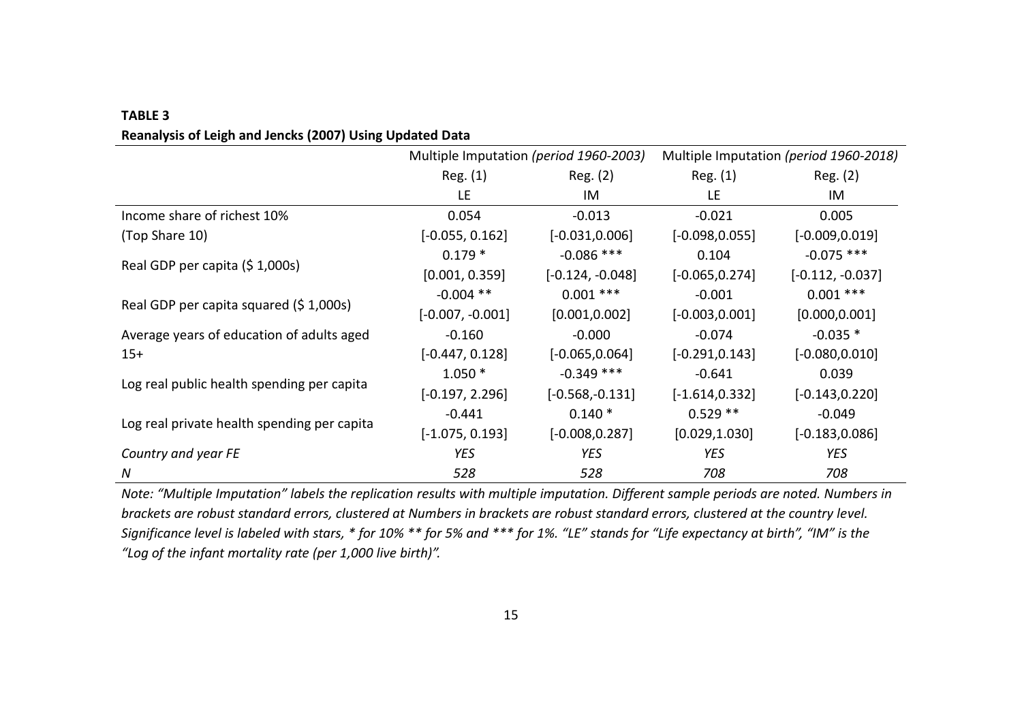| <b>TABLE 3</b>                                           |
|----------------------------------------------------------|
| Reanalysis of Leigh and Jencks (2007) Using Updated Data |

|                                             | Multiple Imputation (period 1960-2003) |                    | Multiple Imputation (period 1960-2018) |                    |  |
|---------------------------------------------|----------------------------------------|--------------------|----------------------------------------|--------------------|--|
|                                             | Reg. (1)                               | Reg. (2)           | Reg. (1)                               | Reg. (2)           |  |
|                                             | LE                                     | IM                 | LE                                     | IM                 |  |
| Income share of richest 10%                 | 0.054                                  | $-0.013$           | $-0.021$                               | 0.005              |  |
| (Top Share 10)                              | $[-0.055, 0.162]$                      | $[-0.031, 0.006]$  | $[-0.098, 0.055]$                      | $[-0.009, 0.019]$  |  |
|                                             | $0.179*$                               | $-0.086$ ***       | 0.104                                  | $-0.075$ ***       |  |
| Real GDP per capita (\$1,000s)              | [0.001, 0.359]                         | $[-0.124, -0.048]$ | $[-0.065, 0.274]$                      | $[-0.112, -0.037]$ |  |
|                                             | $-0.004$ **                            | $0.001$ ***        | $-0.001$                               | $0.001$ ***        |  |
| Real GDP per capita squared (\$1,000s)      | $[-0.007, -0.001]$                     | [0.001, 0.002]     | $[-0.003, 0.001]$                      | [0.000, 0.001]     |  |
| Average years of education of adults aged   | $-0.160$                               | $-0.000$           | $-0.074$                               | $-0.035*$          |  |
| $15+$                                       | $[-0.447, 0.128]$                      | $[-0.065, 0.064]$  | $[-0.291, 0.143]$                      | $[-0.080, 0.010]$  |  |
| Log real public health spending per capita  | $1.050*$                               | $-0.349$ ***       | $-0.641$                               | 0.039              |  |
|                                             | $[-0.197, 2.296]$                      | $[-0.568, -0.131]$ | $[-1.614, 0.332]$                      | $[-0.143, 0.220]$  |  |
|                                             | $-0.441$                               | $0.140*$           | $0.529**$                              | $-0.049$           |  |
| Log real private health spending per capita | $[-1.075, 0.193]$                      | $[-0.008, 0.287]$  | [0.029, 1.030]                         | $[-0.183, 0.086]$  |  |
| Country and year FE                         | <b>YES</b>                             | <b>YES</b>         | <b>YES</b>                             | YES                |  |
| N                                           | 528                                    | 528                | 708                                    | 708                |  |

*Note: "Multiple Imputation" labels the replication results with multiple imputation. Different sample periods are noted. Numbers in brackets are robust standard errors, clustered at Numbers in brackets are robust standard errors, clustered at the country level. Significance level is labeled with stars, \* for 10% \*\* for 5% and \*\*\* for 1%. "LE" stands for "Life expectancy at birth", "IM" is the "Log of the infant mortality rate (per 1,000 live birth)".*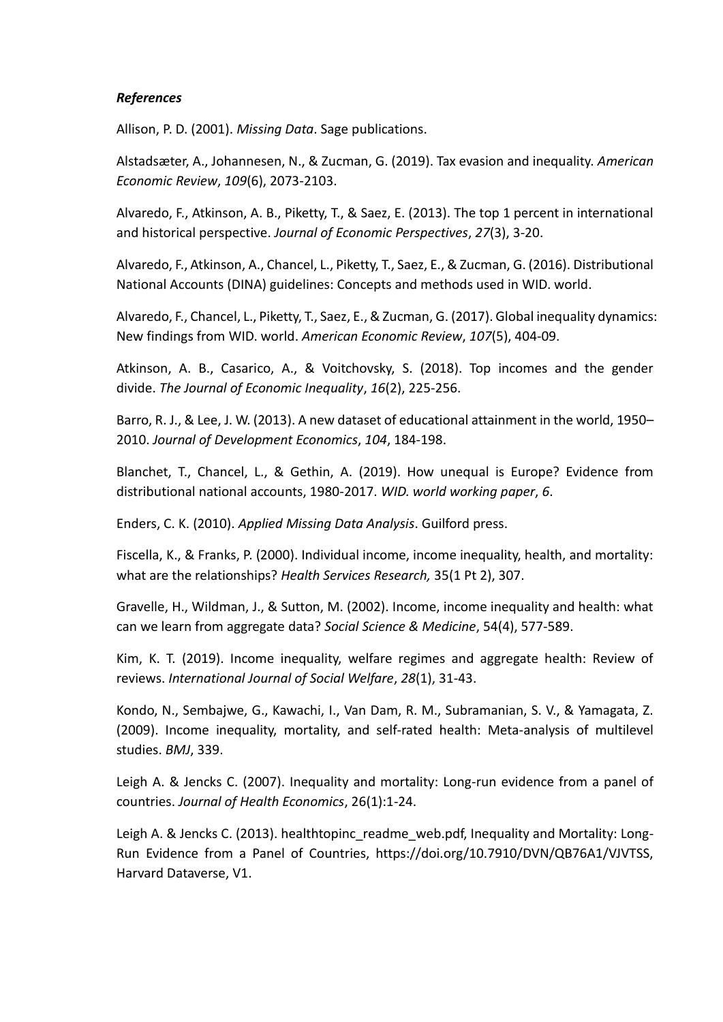### *References*

Allison, P. D. (2001). *Missing Data*. Sage publications.

Alstadsæter, A., Johannesen, N., & Zucman, G. (2019). Tax evasion and inequality. *American Economic Review*, *109*(6), 2073-2103.

Alvaredo, F., Atkinson, A. B., Piketty, T., & Saez, E. (2013). The top 1 percent in international and historical perspective. *Journal of Economic Perspectives*, *27*(3), 3-20.

Alvaredo, F., Atkinson, A., Chancel, L., Piketty, T., Saez, E., & Zucman, G. (2016). Distributional National Accounts (DINA) guidelines: Concepts and methods used in WID. world.

Alvaredo, F., Chancel, L., Piketty, T., Saez, E., & Zucman, G. (2017). Global inequality dynamics: New findings from WID. world. *American Economic Review*, *107*(5), 404-09.

Atkinson, A. B., Casarico, A., & Voitchovsky, S. (2018). Top incomes and the gender divide. *The Journal of Economic Inequality*, *16*(2), 225-256.

Barro, R. J., & Lee, J. W. (2013). A new dataset of educational attainment in the world, 1950– 2010. *Journal of Development Economics*, *104*, 184-198.

Blanchet, T., Chancel, L., & Gethin, A. (2019). How unequal is Europe? Evidence from distributional national accounts, 1980-2017. *WID. world working paper*, *6*.

Enders, C. K. (2010). *Applied Missing Data Analysis*. Guilford press.

Fiscella, K., & Franks, P. (2000). Individual income, income inequality, health, and mortality: what are the relationships? *Health Services Research,* 35(1 Pt 2), 307.

Gravelle, H., Wildman, J., & Sutton, M. (2002). Income, income inequality and health: what can we learn from aggregate data? *Social Science & Medicine*, 54(4), 577-589.

Kim, K. T. (2019). Income inequality, welfare regimes and aggregate health: Review of reviews. *International Journal of Social Welfare*, *28*(1), 31-43.

Kondo, N., Sembajwe, G., Kawachi, I., Van Dam, R. M., Subramanian, S. V., & Yamagata, Z. (2009). Income inequality, mortality, and self-rated health: Meta-analysis of multilevel studies. *BMJ*, 339.

Leigh A. & Jencks C. (2007). Inequality and mortality: Long-run evidence from a panel of countries. *Journal of Health Economics*, 26(1):1-24.

Leigh A. & Jencks C. (2013). healthtopinc readme web.pdf, Inequality and Mortality: Long-Run Evidence from a Panel of Countries, https://doi.org/10.7910/DVN/QB76A1/VJVTSS, Harvard Dataverse, V1.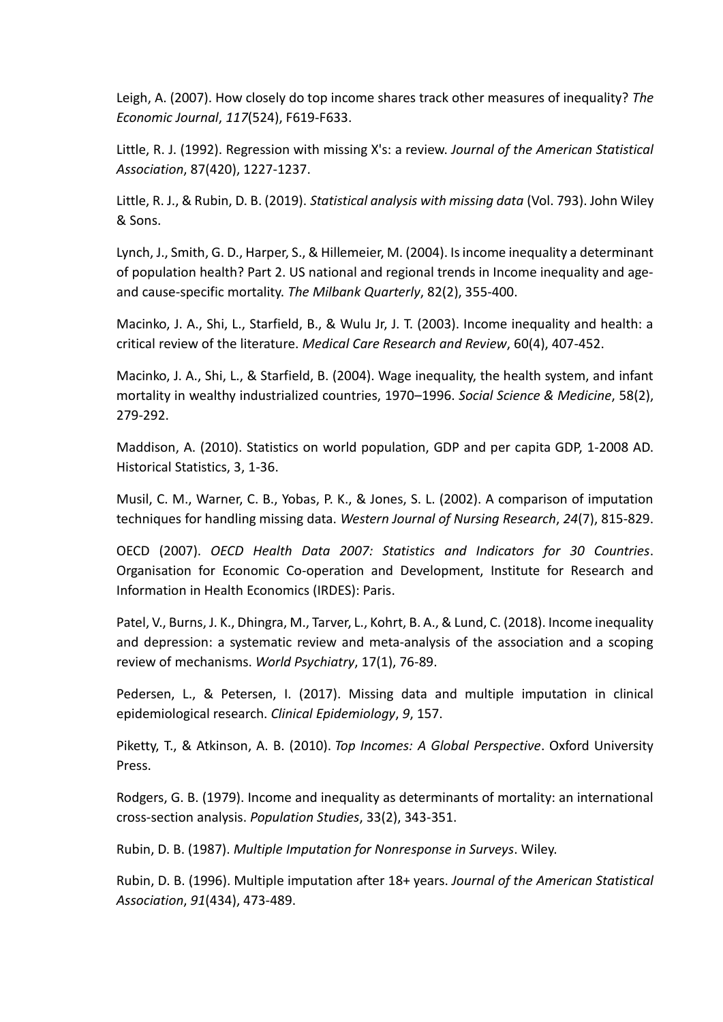Leigh, A. (2007). How closely do top income shares track other measures of inequality? *The Economic Journal*, *117*(524), F619-F633.

Little, R. J. (1992). Regression with missing X's: a review. *Journal of the American Statistical Association*, 87(420), 1227-1237.

Little, R. J., & Rubin, D. B. (2019). *Statistical analysis with missing data* (Vol. 793). John Wiley & Sons.

Lynch, J., Smith, G. D., Harper, S., & Hillemeier, M. (2004). Is income inequality a determinant of population health? Part 2. US national and regional trends in Income inequality and ageand cause-specific mortality. *The Milbank Quarterly*, 82(2), 355-400.

Macinko, J. A., Shi, L., Starfield, B., & Wulu Jr, J. T. (2003). Income inequality and health: a critical review of the literature. *Medical Care Research and Review*, 60(4), 407-452.

Macinko, J. A., Shi, L., & Starfield, B. (2004). Wage inequality, the health system, and infant mortality in wealthy industrialized countries, 1970–1996. *Social Science & Medicine*, 58(2), 279-292.

Maddison, A. (2010). Statistics on world population, GDP and per capita GDP, 1-2008 AD. Historical Statistics, 3, 1-36.

Musil, C. M., Warner, C. B., Yobas, P. K., & Jones, S. L. (2002). A comparison of imputation techniques for handling missing data. *Western Journal of Nursing Research*, *24*(7), 815-829.

OECD (2007). *OECD Health Data 2007: Statistics and Indicators for 30 Countries*. Organisation for Economic Co-operation and Development, Institute for Research and Information in Health Economics (IRDES): Paris.

Patel, V., Burns, J. K., Dhingra, M., Tarver, L., Kohrt, B. A., & Lund, C. (2018). Income inequality and depression: a systematic review and meta-analysis of the association and a scoping review of mechanisms. *World Psychiatry*, 17(1), 76-89.

Pedersen, L., & Petersen, I. (2017). Missing data and multiple imputation in clinical epidemiological research. *Clinical Epidemiology*, *9*, 157.

Piketty, T., & Atkinson, A. B. (2010). *Top Incomes: A Global Perspective*. Oxford University Press.

Rodgers, G. B. (1979). Income and inequality as determinants of mortality: an international cross-section analysis. *Population Studies*, 33(2), 343-351.

Rubin, D. B. (1987). *Multiple Imputation for Nonresponse in Surveys*. Wiley.

Rubin, D. B. (1996). Multiple imputation after 18+ years. *Journal of the American Statistical Association*, *91*(434), 473-489.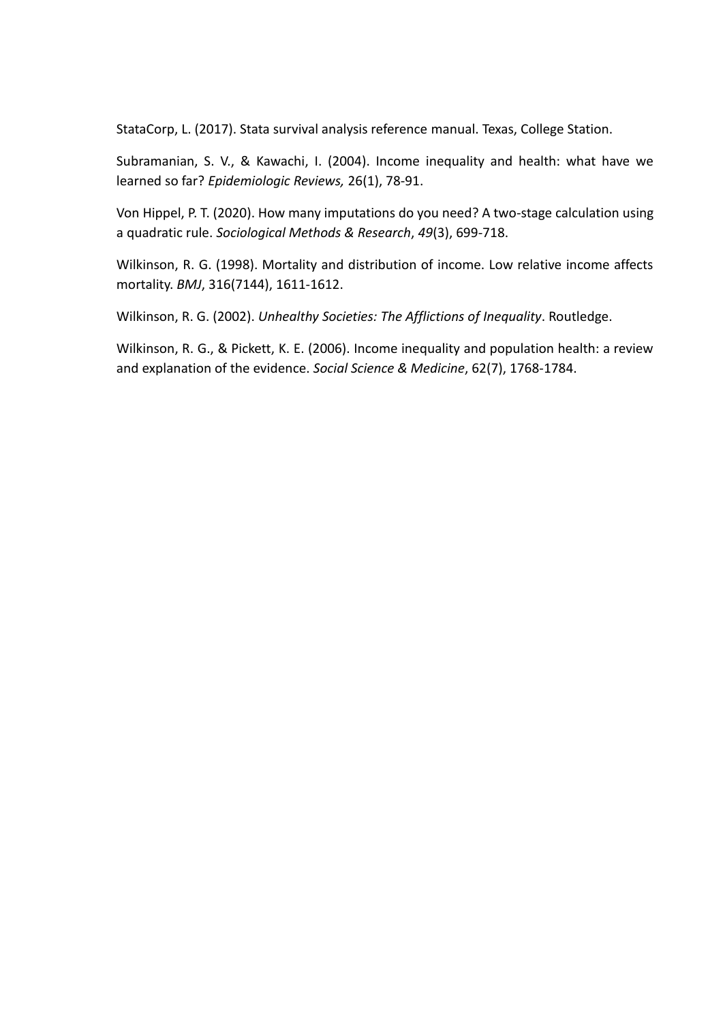StataCorp, L. (2017). Stata survival analysis reference manual. Texas, College Station.

Subramanian, S. V., & Kawachi, I. (2004). Income inequality and health: what have we learned so far? *Epidemiologic Reviews,* 26(1), 78-91.

Von Hippel, P. T. (2020). How many imputations do you need? A two-stage calculation using a quadratic rule. *Sociological Methods & Research*, *49*(3), 699-718.

Wilkinson, R. G. (1998). Mortality and distribution of income. Low relative income affects mortality. *BMJ*, 316(7144), 1611-1612.

Wilkinson, R. G. (2002). *Unhealthy Societies: The Afflictions of Inequality*. Routledge.

Wilkinson, R. G., & Pickett, K. E. (2006). Income inequality and population health: a review and explanation of the evidence. *Social Science & Medicine*, 62(7), 1768-1784.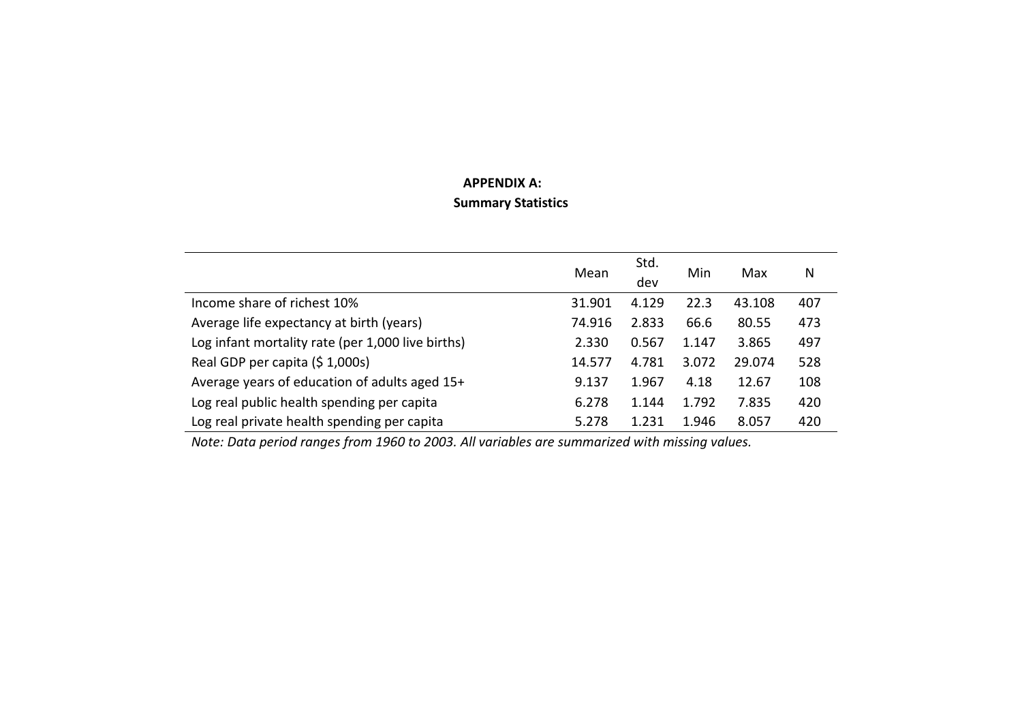## **APPENDIX A: Summary Statistics**

|                                                   | Mean   | Std.<br>dev | Min   | Max    | N   |
|---------------------------------------------------|--------|-------------|-------|--------|-----|
| Income share of richest 10%                       | 31.901 | 4.129       | 22.3  | 43.108 | 407 |
| Average life expectancy at birth (years)          | 74.916 | 2.833       | 66.6  | 80.55  | 473 |
| Log infant mortality rate (per 1,000 live births) | 2.330  | 0.567       | 1.147 | 3.865  | 497 |
| Real GDP per capita (\$1,000s)                    | 14.577 | 4.781       | 3.072 | 29.074 | 528 |
| Average years of education of adults aged 15+     | 9.137  | 1.967       | 4.18  | 12.67  | 108 |
| Log real public health spending per capita        | 6.278  | 1.144       | 1.792 | 7.835  | 420 |
| Log real private health spending per capita       | 5.278  | 1.231       | 1.946 | 8.057  | 420 |

*Note: Data period ranges from 1960 to 2003. All variables are summarized with missing values.*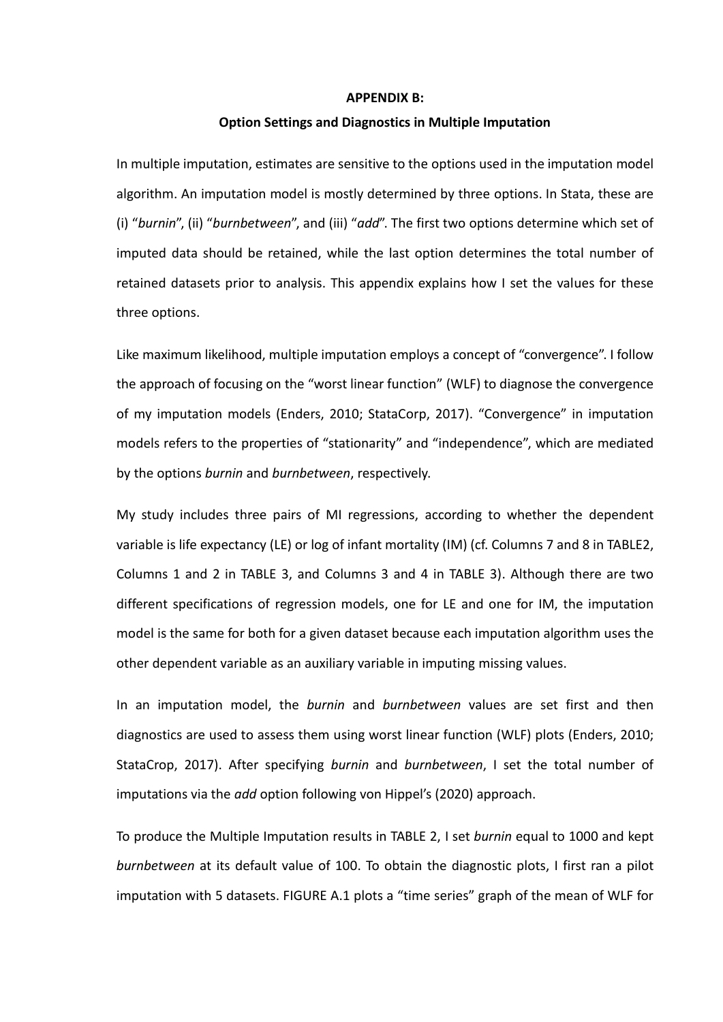#### **APPENDIX B:**

#### **Option Settings and Diagnostics in Multiple Imputation**

In multiple imputation, estimates are sensitive to the options used in the imputation model algorithm. An imputation model is mostly determined by three options. In Stata, these are (i) "*burnin*", (ii) "*burnbetween*", and (iii) "*add*". The first two options determine which set of imputed data should be retained, while the last option determines the total number of retained datasets prior to analysis. This appendix explains how I set the values for these three options.

Like maximum likelihood, multiple imputation employs a concept of "convergence". I follow the approach of focusing on the "worst linear function" (WLF) to diagnose the convergence of my imputation models (Enders, 2010; StataCorp, 2017). "Convergence" in imputation models refers to the properties of "stationarity" and "independence", which are mediated by the options *burnin* and *burnbetween*, respectively.

My study includes three pairs of MI regressions, according to whether the dependent variable is life expectancy (LE) or log of infant mortality (IM) (cf. Columns 7 and 8 in TABLE2, Columns 1 and 2 in TABLE 3, and Columns 3 and 4 in TABLE 3). Although there are two different specifications of regression models, one for LE and one for IM, the imputation model is the same for both for a given dataset because each imputation algorithm uses the other dependent variable as an auxiliary variable in imputing missing values.

In an imputation model, the *burnin* and *burnbetween* values are set first and then diagnostics are used to assess them using worst linear function (WLF) plots (Enders, 2010; StataCrop, 2017). After specifying *burnin* and *burnbetween*, I set the total number of imputations via the *add* option following von Hippel's (2020) approach.

To produce the Multiple Imputation results in TABLE 2, I set *burnin* equal to 1000 and kept *burnbetween* at its default value of 100. To obtain the diagnostic plots, I first ran a pilot imputation with 5 datasets. FIGURE A.1 plots a "time series" graph of the mean of WLF for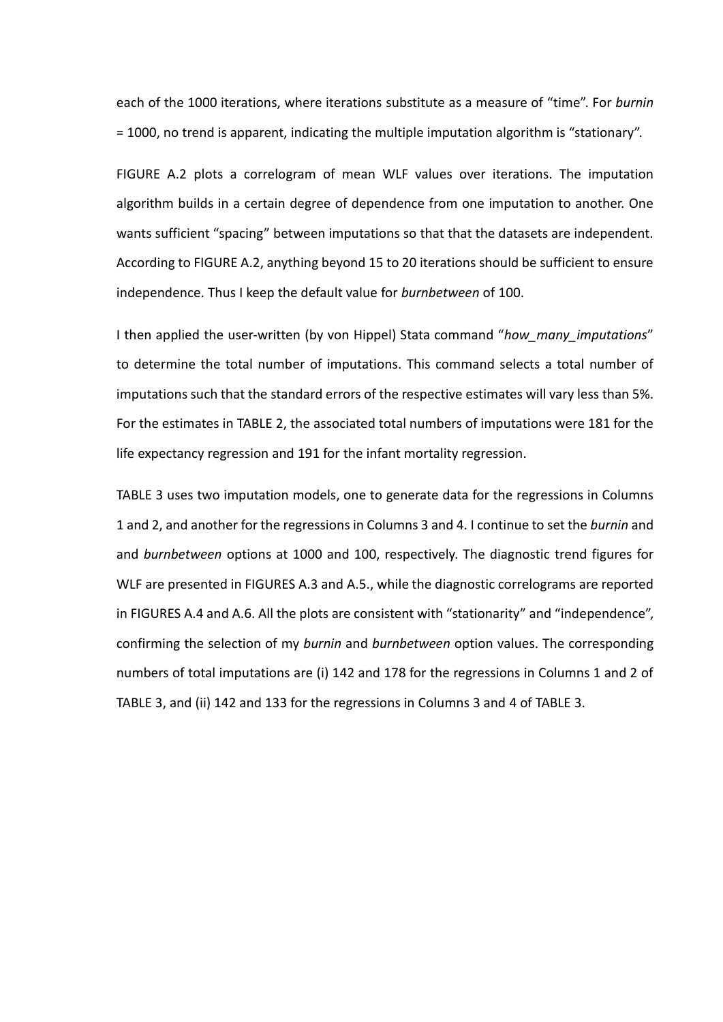each of the 1000 iterations, where iterations substitute as a measure of "time". For *burnin* = 1000, no trend is apparent, indicating the multiple imputation algorithm is "stationary".

FIGURE A.2 plots a correlogram of mean WLF values over iterations. The imputation algorithm builds in a certain degree of dependence from one imputation to another. One wants sufficient "spacing" between imputations so that that the datasets are independent. According to FIGURE A.2, anything beyond 15 to 20 iterations should be sufficient to ensure independence. Thus I keep the default value for *burnbetween* of 100.

I then applied the user-written (by von Hippel) Stata command "*how\_many\_imputations*" to determine the total number of imputations. This command selects a total number of imputations such that the standard errors of the respective estimates will vary less than 5%. For the estimates in TABLE 2, the associated total numbers of imputations were 181 for the life expectancy regression and 191 for the infant mortality regression.

TABLE 3 uses two imputation models, one to generate data for the regressions in Columns 1 and 2, and another for the regressions in Columns 3 and 4. I continue to set the *burnin* and and *burnbetween* options at 1000 and 100, respectively. The diagnostic trend figures for WLF are presented in FIGURES A.3 and A.5., while the diagnostic correlograms are reported in FIGURES A.4 and A.6. All the plots are consistent with "stationarity" and "independence", confirming the selection of my *burnin* and *burnbetween* option values. The corresponding numbers of total imputations are (i) 142 and 178 for the regressions in Columns 1 and 2 of TABLE 3, and (ii) 142 and 133 for the regressions in Columns 3 and 4 of TABLE 3.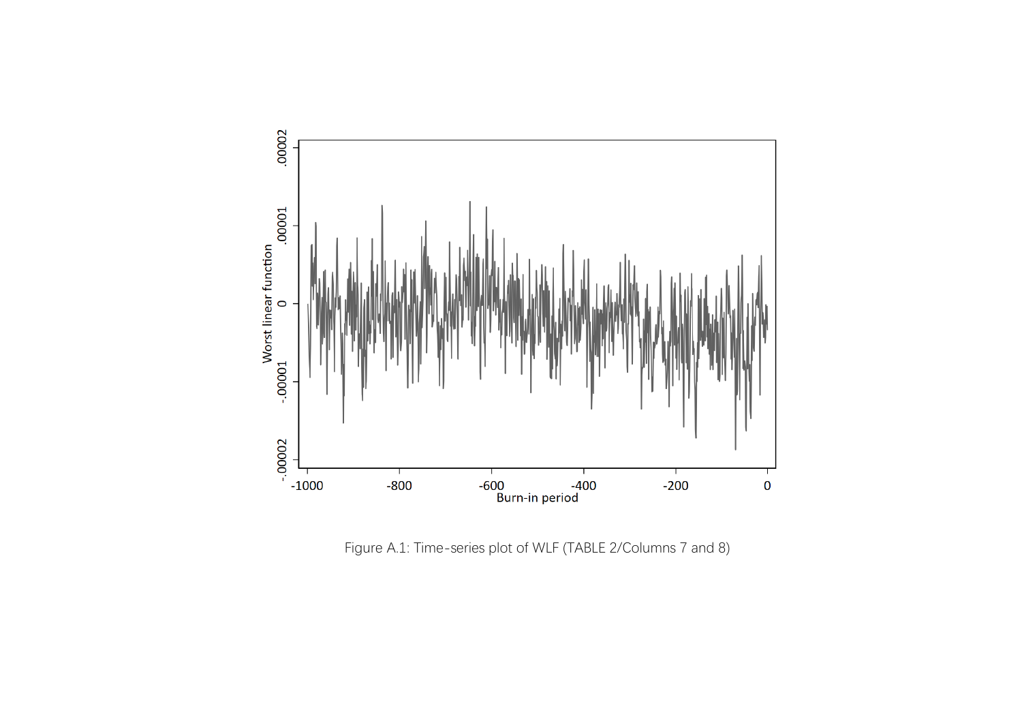

Figure A.1: Time-series plot of WLF (TABLE 2/Columns 7 and 8)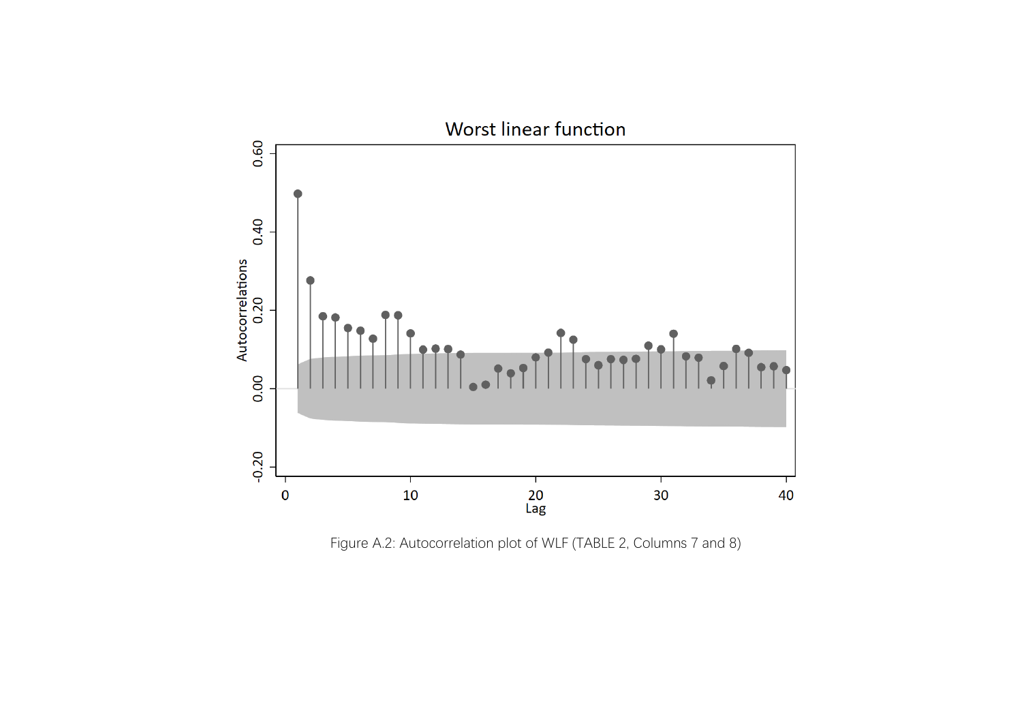

Figure A.2: Autocorrelation plot of WLF (TABLE 2, Columns 7 and 8)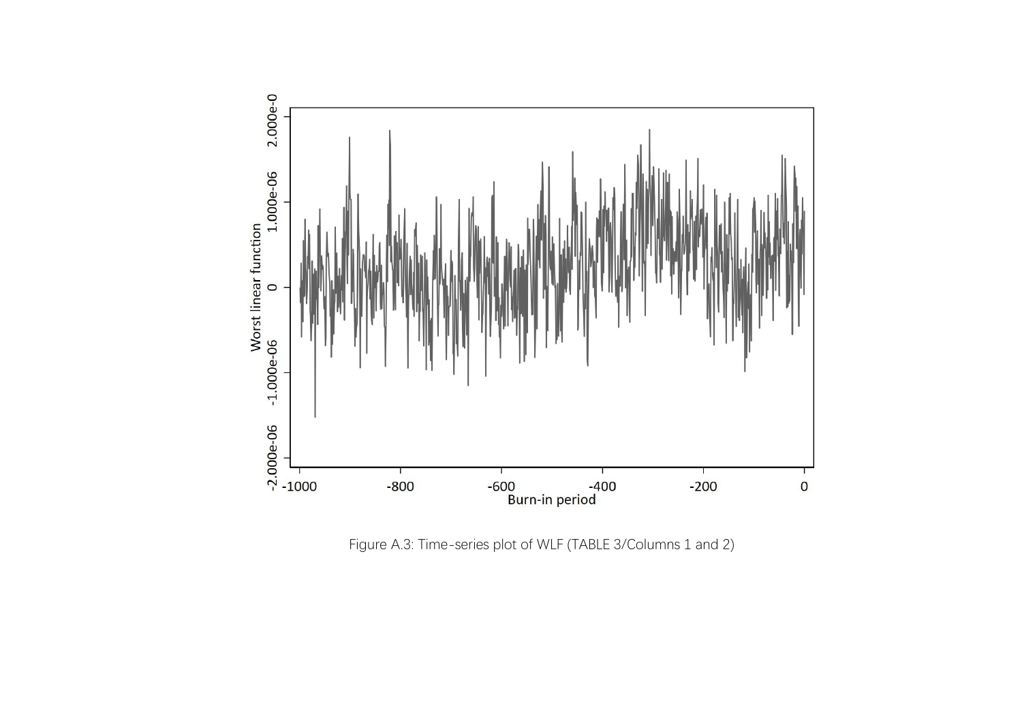

Figure A.3: Time-series plot of WLF (TABLE 3/Columns 1 and 2)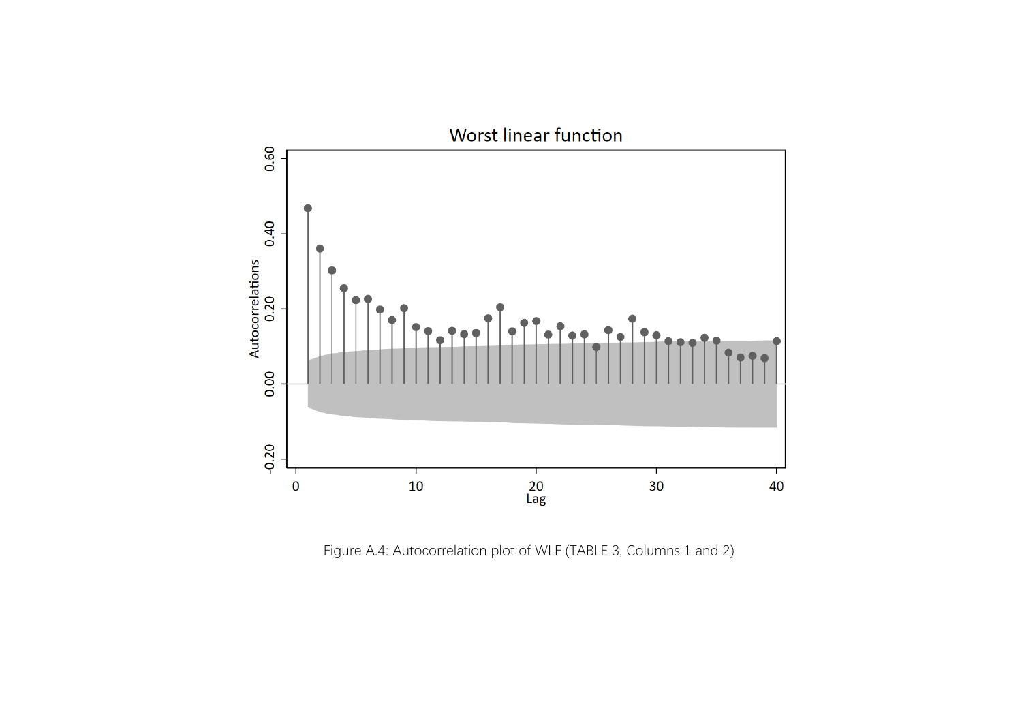

Figure A.4: Autocorrelation plot of WLF (TABLE 3, Columns 1 and 2)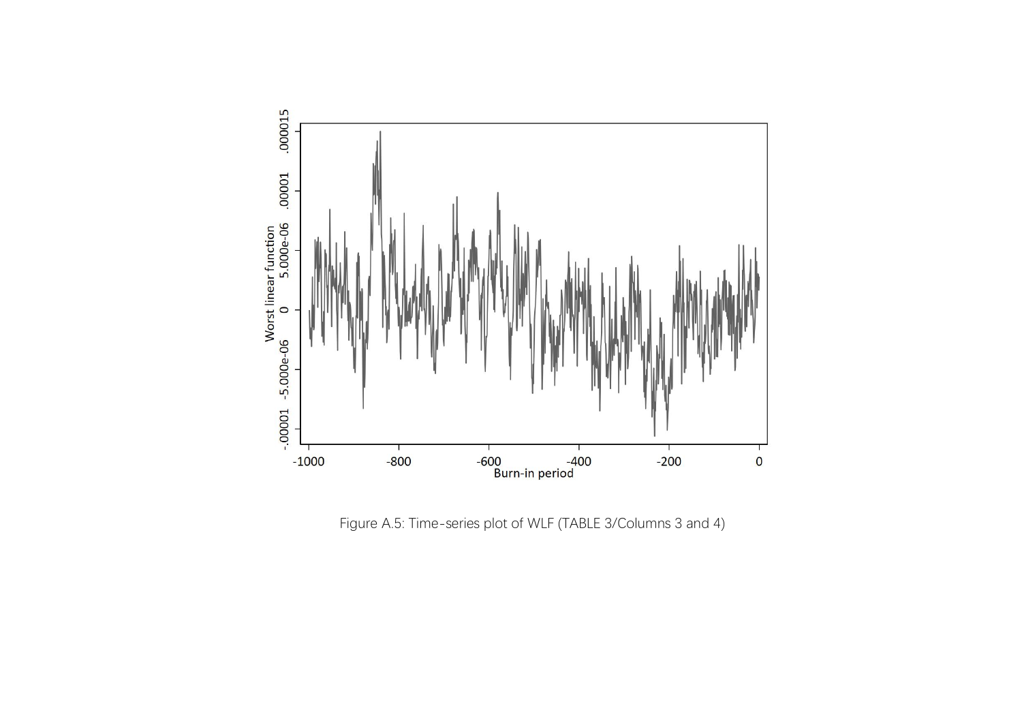

Figure A.5: Time-series plot of WLF (TABLE 3/Columns 3 and 4)